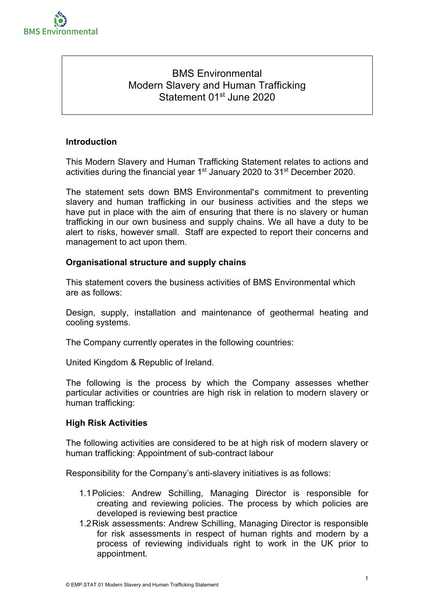

# BMS Environmental Modern Slavery and Human Trafficking Statement 01<sup>st</sup> June 2020

# **Introduction**

This Modern Slavery and Human Trafficking Statement relates to actions and activities during the financial year 1<sup>st</sup> January 2020 to 31<sup>st</sup> December 2020.

The statement sets down BMS Environmental's commitment to preventing slavery and human trafficking in our business activities and the steps we have put in place with the aim of ensuring that there is no slavery or human trafficking in our own business and supply chains. We all have a duty to be alert to risks, however small. Staff are expected to report their concerns and management to act upon them.

# **Organisational structure and supply chains**

This statement covers the business activities of BMS Environmental which are as follows:

Design, supply, installation and maintenance of geothermal heating and cooling systems.

The Company currently operates in the following countries:

United Kingdom & Republic of Ireland.

The following is the process by which the Company assesses whether particular activities or countries are high risk in relation to modern slavery or human trafficking:

### **High Risk Activities**

The following activities are considered to be at high risk of modern slavery or human trafficking: Appointment of sub-contract labour

Responsibility for the Company's anti-slavery initiatives is as follows:

- 1.1 Policies: Andrew Schilling, Managing Director is responsible for creating and reviewing policies. The process by which policies are developed is reviewing best practice
- 1.2 Risk assessments: Andrew Schilling, Managing Director is responsible for risk assessments in respect of human rights and modern by a process of reviewing individuals right to work in the UK prior to appointment.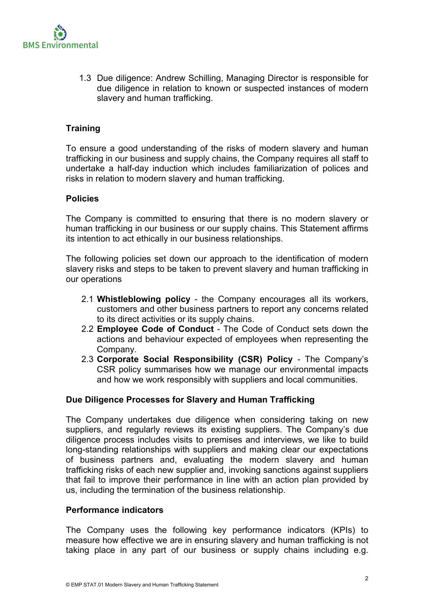

1.3 Due diligence: Andrew Schilling, Managing Director is responsible for due diligence in relation to known or suspected instances of modern slavery and human trafficking.

# **Training**

To ensure a good understanding of the risks of modern slavery and human trafficking in our business and supply chains, the Company requires all staff to undertake a half-day induction which includes familiarization of polices and risks in relation to modern slavery and human trafficking.

#### **Policies**

The Company is committed to ensuring that there is no modern slavery or human trafficking in our business or our supply chains. This Statement affirms its intention to act ethically in our business relationships.

The following policies set down our approach to the identification of modern slavery risks and steps to be taken to prevent slavery and human trafficking in our operations

- 2.1 **Whistleblowing policy** the Company encourages all its workers, customers and other business partners to report any concerns related to its direct activities or its supply chains.
- 2.2 **Employee Code of Conduct** The Code of Conduct sets down the actions and behaviour expected of employees when representing the Company.
- 2.3 **Corporate Social Responsibility (CSR) Policy**  The Company's CSR policy summarises how we manage our environmental impacts and how we work responsibly with suppliers and local communities.

### **Due Diligence Processes for Slavery and Human Trafficking**

The Company undertakes due diligence when considering taking on new suppliers, and regularly reviews its existing suppliers. The Company's due diligence process includes visits to premises and interviews, we like to build long-standing relationships with suppliers and making clear our expectations of business partners and, evaluating the modern slavery and human trafficking risks of each new supplier and, invoking sanctions against suppliers that fail to improve their performance in line with an action plan provided by us, including the termination of the business relationship.

### **Performance indicators**

The Company uses the following key performance indicators (KPIs) to measure how effective we are in ensuring slavery and human trafficking is not taking place in any part of our business or supply chains including e.g.